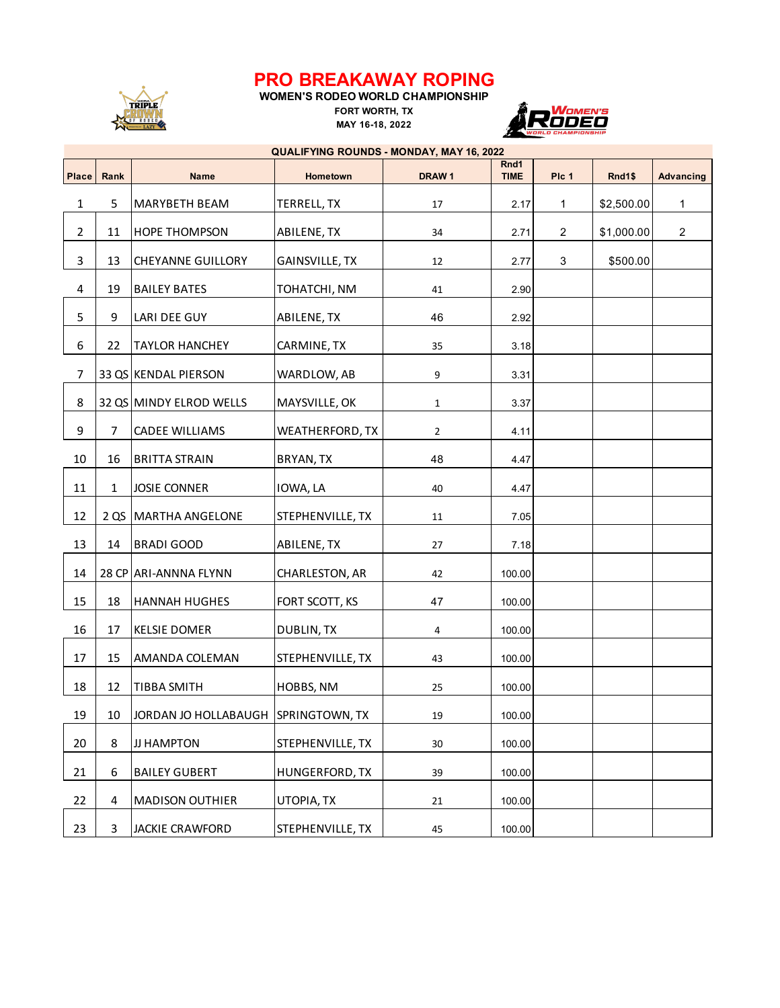## **PRO BREAKAWAY ROPING**



## **WOMEN'S RODEO WORLD CHAMPIONSHIP FORT WORTH, TX**

**MAY 16-18, 2022**



## **Place** Rank **Name Hometown DRAW 1 Rnd1 TIME Plc 1 Rnd1\$ Advancing** 1 5 | MARYBETH BEAM | TERRELL, TX | 17 | 2.17 | 1 | \$2,500.00 | 1 2 | 11 |HOPE THOMPSON | ABILENE, TX | 34 | 2.71 | 2 | \$1,000.00 | 2 3 | 13 | CHEYANNE GUILLORY | GAINSVILLE, TX | 12 | 2.77 | 3 | \$500.00 4 | 19 |BAILEY BATES | TOHATCHI, NM | 41 | 2.90 5 9 LARI DEE GUY ABILENE, TX 46 2.92 6 22 TAYLOR HANCHEY CARMINE, TX | 35 | 3.18 7 33 QS KENDAL PIERSON WARDLOW, AB 9 3.31 8 32 QS MINDY ELROD WELLS MAYSVILLE, OK 1 1 3.37 9 7 CADEE WILLIAMS WEATHERFORD, TX 2 4.11 10 | 16 | BRITTA STRAIN | BRYAN, TX | 48 | 4.47 11 1 JOSIE CONNER IOWA, LA 40 4.47 12 | 2 QS | MARTHA ANGELONE | STEPHENVILLE, TX | 11 | 7.05 13 | 14 |BRADI GOOD | ABILENE, TX | 27 | 7.18 14 28 CP ARI-ANNNA FLYNN CHARLESTON, AR | 42 | 100.00 15 | 18 | HANNAH HUGHES | FORT SCOTT, KS | 47 | 100.00 16 | 17 | KELSIE DOMER | DUBLIN, TX | 4 | 100.00 17 | 15 |AMANDA COLEMAN | STEPHENVILLE, TX | 43 | 100.00 18 | 12 | TIBBA SMITH | HOBBS, NM | 25 | 100.00 19 | 10 | JORDAN JO HOLLABAUGH SPRINGTOWN, TX | 19 | 100.00 20 | 8 |JJ HAMPTON | STEPHENVILLE, TX | 30 | 100.00 21 6 BAILEY GUBERT HUNGERFORD, TX 39 100.00 22 4 MADISON OUTHIER UTOPIA, TX  $\vert$  21 100.00 23 3 JACKIE CRAWFORD STEPHENVILLE, TX | 45 | 100.00 **QUALIFYING ROUNDS - MONDAY, MAY 16, 2022**